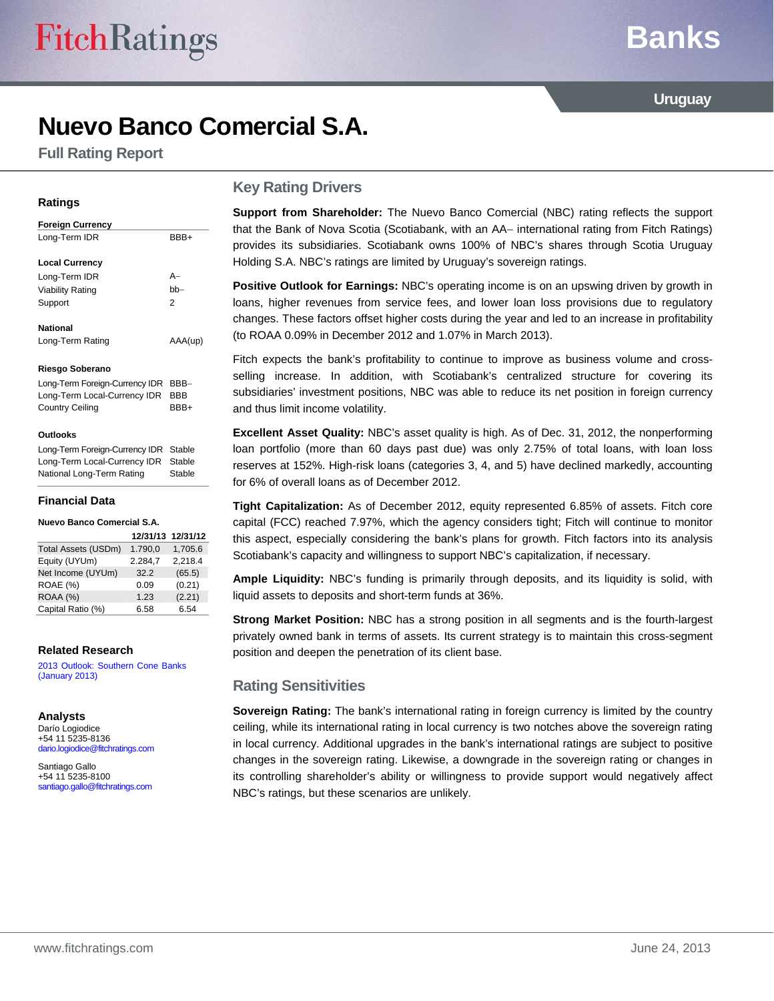# **Banks**

**Uruguay** 

# **Nuevo Banco Comercial S.A.**

**Full Rating Report** 

#### **Ratings**

#### **Foreign Currency**  Long-Term IDR BBB+ **Local Currency**  Long-Term IDR A Viability Rating bb Support 2 **National**  Long-Term Rating AAA(up)

#### **Riesgo Soberano**

Long-Term Foreign-Currency IDR BBB-Long-Term Local-Currency IDR BBB Country Ceiling BBB+

#### **Outlooks**

Long-Term Foreign-Currency IDR Stable Long-Term Local-Currency IDR Stable National Long-Term Rating Stable

#### **Financial Data**

**Nuevo Banco Comercial S.A.** 

|                     | 12/31/13 12/31/12 |         |
|---------------------|-------------------|---------|
| Total Assets (USDm) | 1.790,0           | 1,705.6 |
| Equity (UYUm)       | 2.284.7           | 2,218.4 |
| Net Income (UYUm)   | 32.2              | (65.5)  |
| ROAE (%)            | 0.09              | (0.21)  |
| ROAA (%)            | 1.23              | (2.21)  |
| Capital Ratio (%)   | 6.58              | 6.54    |

#### **Related Research**

[2013 Outlook: Southern Cone Banks](http://www.fitchratings.com/creditdesk/reports/report_frame.cfm?rpt_id=698916)  (January 2013)

#### **Analysts**

Darío Logiodice +54 11 5235-8136 dario.logiodice@fitchratings.com

Santiago Gallo +54 11 5235-8100 santiago.gallo@fitchratings.com

#### **Key Rating Drivers**

**Support from Shareholder:** The Nuevo Banco Comercial (NBC) rating reflects the support that the Bank of Nova Scotia (Scotiabank, with an AA- international rating from Fitch Ratings) provides its subsidiaries. Scotiabank owns 100% of NBC's shares through Scotia Uruguay Holding S.A. NBC's ratings are limited by Uruguay's sovereign ratings.

**Positive Outlook for Earnings:** NBC's operating income is on an upswing driven by growth in loans, higher revenues from service fees, and lower loan loss provisions due to regulatory changes. These factors offset higher costs during the year and led to an increase in profitability (to ROAA 0.09% in December 2012 and 1.07% in March 2013).

Fitch expects the bank's profitability to continue to improve as business volume and crossselling increase. In addition, with Scotiabank's centralized structure for covering its subsidiaries' investment positions, NBC was able to reduce its net position in foreign currency and thus limit income volatility.

**Excellent Asset Quality:** NBC's asset quality is high. As of Dec. 31, 2012, the nonperforming loan portfolio (more than 60 days past due) was only 2.75% of total loans, with loan loss reserves at 152%. High-risk loans (categories 3, 4, and 5) have declined markedly, accounting for 6% of overall loans as of December 2012.

**Tight Capitalization:** As of December 2012, equity represented 6.85% of assets. Fitch core capital (FCC) reached 7.97%, which the agency considers tight; Fitch will continue to monitor this aspect, especially considering the bank's plans for growth. Fitch factors into its analysis Scotiabank's capacity and willingness to support NBC's capitalization, if necessary.

**Ample Liquidity:** NBC's funding is primarily through deposits, and its liquidity is solid, with liquid assets to deposits and short-term funds at 36%.

**Strong Market Position:** NBC has a strong position in all segments and is the fourth-largest privately owned bank in terms of assets. Its current strategy is to maintain this cross-segment position and deepen the penetration of its client base.

#### **Rating Sensitivities**

**Sovereign Rating:** The bank's international rating in foreign currency is limited by the country ceiling, while its international rating in local currency is two notches above the sovereign rating in local currency. Additional upgrades in the bank's international ratings are subject to positive changes in the sovereign rating. Likewise, a downgrade in the sovereign rating or changes in its controlling shareholder's ability or willingness to provide support would negatively affect NBC's ratings, but these scenarios are unlikely.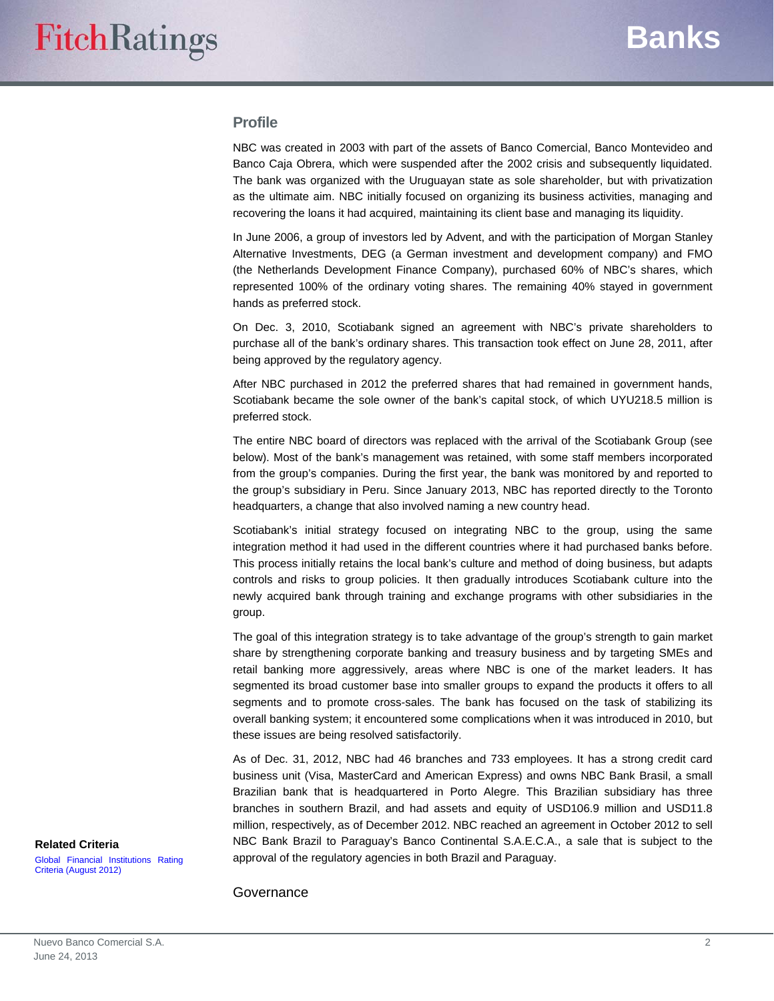#### **Profile**

NBC was created in 2003 with part of the assets of Banco Comercial, Banco Montevideo and Banco Caja Obrera, which were suspended after the 2002 crisis and subsequently liquidated. The bank was organized with the Uruguayan state as sole shareholder, but with privatization as the ultimate aim. NBC initially focused on organizing its business activities, managing and recovering the loans it had acquired, maintaining its client base and managing its liquidity.

In June 2006, a group of investors led by Advent, and with the participation of Morgan Stanley Alternative Investments, DEG (a German investment and development company) and FMO (the Netherlands Development Finance Company), purchased 60% of NBC's shares, which represented 100% of the ordinary voting shares. The remaining 40% stayed in government hands as preferred stock.

On Dec. 3, 2010, Scotiabank signed an agreement with NBC's private shareholders to purchase all of the bank's ordinary shares. This transaction took effect on June 28, 2011, after being approved by the regulatory agency.

After NBC purchased in 2012 the preferred shares that had remained in government hands, Scotiabank became the sole owner of the bank's capital stock, of which UYU218.5 million is preferred stock.

The entire NBC board of directors was replaced with the arrival of the Scotiabank Group (see below). Most of the bank's management was retained, with some staff members incorporated from the group's companies. During the first year, the bank was monitored by and reported to the group's subsidiary in Peru. Since January 2013, NBC has reported directly to the Toronto headquarters, a change that also involved naming a new country head.

Scotiabank's initial strategy focused on integrating NBC to the group, using the same integration method it had used in the different countries where it had purchased banks before. This process initially retains the local bank's culture and method of doing business, but adapts controls and risks to group policies. It then gradually introduces Scotiabank culture into the newly acquired bank through training and exchange programs with other subsidiaries in the group.

The goal of this integration strategy is to take advantage of the group's strength to gain market share by strengthening corporate banking and treasury business and by targeting SMEs and retail banking more aggressively, areas where NBC is one of the market leaders. It has segmented its broad customer base into smaller groups to expand the products it offers to all segments and to promote cross-sales. The bank has focused on the task of stabilizing its overall banking system; it encountered some complications when it was introduced in 2010, but these issues are being resolved satisfactorily.

As of Dec. 31, 2012, NBC had 46 branches and 733 employees. It has a strong credit card business unit (Visa, MasterCard and American Express) and owns NBC Bank Brasil, a small Brazilian bank that is headquartered in Porto Alegre. This Brazilian subsidiary has three branches in southern Brazil, and had assets and equity of USD106.9 million and USD11.8 million, respectively, as of December 2012. NBC reached an agreement in October 2012 to sell NBC Bank Brazil to Paraguay's Banco Continental S.A.E.C.A., a sale that is subject to the approval of the regulatory agencies in both Brazil and Paraguay.

#### **Related Criteria**

[Global Financial Institutions Rating](http://www.fitchratings.com/creditdesk/reports/report_frame.cfm?rpt_id=686181)  Criteria (August 2012)

Governance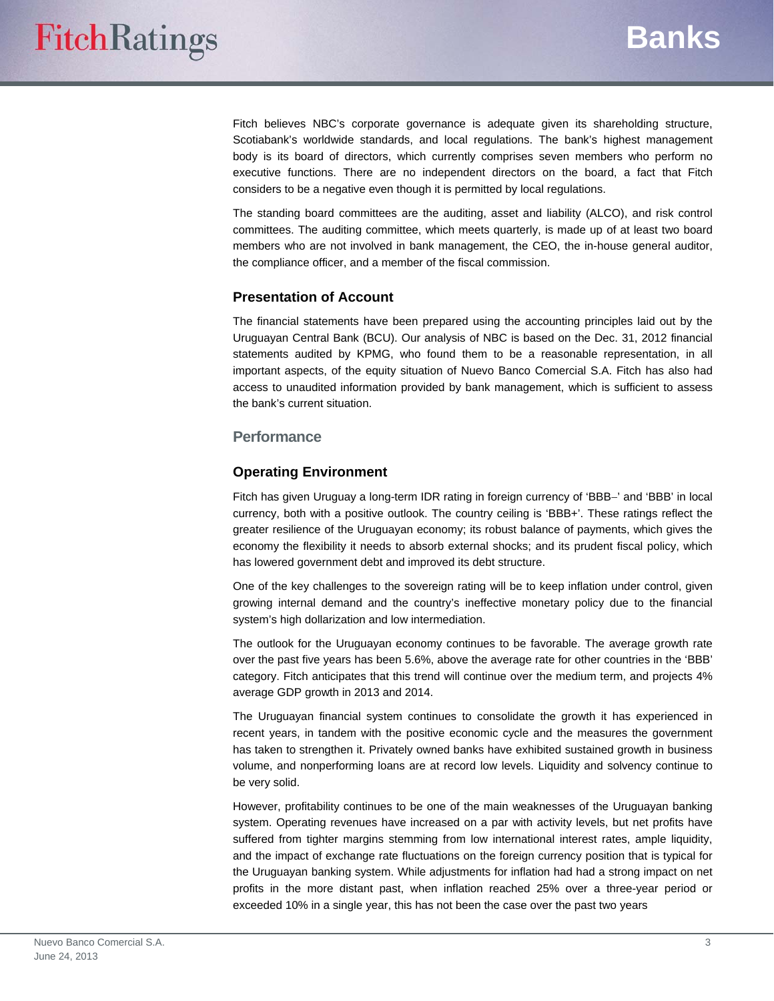Fitch believes NBC's corporate governance is adequate given its shareholding structure, Scotiabank's worldwide standards, and local regulations. The bank's highest management body is its board of directors, which currently comprises seven members who perform no executive functions. There are no independent directors on the board, a fact that Fitch considers to be a negative even though it is permitted by local regulations.

The standing board committees are the auditing, asset and liability (ALCO), and risk control committees. The auditing committee, which meets quarterly, is made up of at least two board members who are not involved in bank management, the CEO, the in-house general auditor, the compliance officer, and a member of the fiscal commission.

#### **Presentation of Account**

The financial statements have been prepared using the accounting principles laid out by the Uruguayan Central Bank (BCU). Our analysis of NBC is based on the Dec. 31, 2012 financial statements audited by KPMG, who found them to be a reasonable representation, in all important aspects, of the equity situation of Nuevo Banco Comercial S.A. Fitch has also had access to unaudited information provided by bank management, which is sufficient to assess the bank's current situation.

#### **Performance**

#### **Operating Environment**

Fitch has given Uruguay a long-term IDR rating in foreign currency of 'BBB-' and 'BBB' in local currency, both with a positive outlook. The country ceiling is 'BBB+'. These ratings reflect the greater resilience of the Uruguayan economy; its robust balance of payments, which gives the economy the flexibility it needs to absorb external shocks; and its prudent fiscal policy, which has lowered government debt and improved its debt structure.

One of the key challenges to the sovereign rating will be to keep inflation under control, given growing internal demand and the country's ineffective monetary policy due to the financial system's high dollarization and low intermediation.

The outlook for the Uruguayan economy continues to be favorable. The average growth rate over the past five years has been 5.6%, above the average rate for other countries in the 'BBB' category. Fitch anticipates that this trend will continue over the medium term, and projects 4% average GDP growth in 2013 and 2014.

The Uruguayan financial system continues to consolidate the growth it has experienced in recent years, in tandem with the positive economic cycle and the measures the government has taken to strengthen it. Privately owned banks have exhibited sustained growth in business volume, and nonperforming loans are at record low levels. Liquidity and solvency continue to be very solid.

However, profitability continues to be one of the main weaknesses of the Uruguayan banking system. Operating revenues have increased on a par with activity levels, but net profits have suffered from tighter margins stemming from low international interest rates, ample liquidity, and the impact of exchange rate fluctuations on the foreign currency position that is typical for the Uruguayan banking system. While adjustments for inflation had had a strong impact on net profits in the more distant past, when inflation reached 25% over a three-year period or exceeded 10% in a single year, this has not been the case over the past two years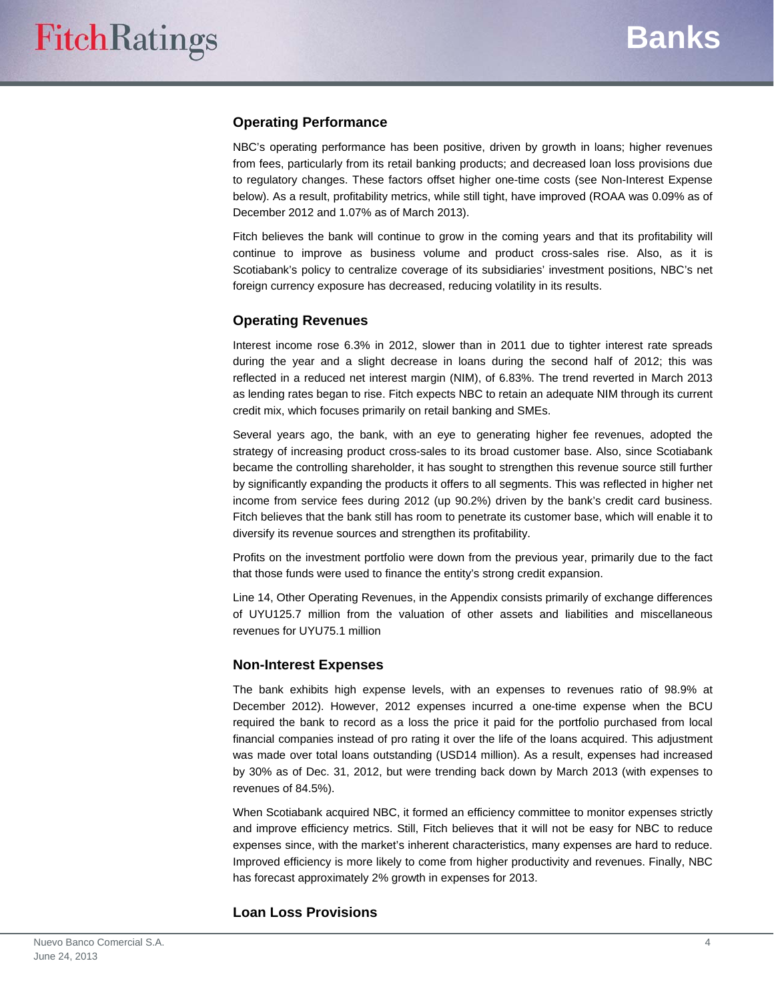## **Operating Performance**

NBC's operating performance has been positive, driven by growth in loans; higher revenues from fees, particularly from its retail banking products; and decreased loan loss provisions due to regulatory changes. These factors offset higher one-time costs (see Non-Interest Expense below). As a result, profitability metrics, while still tight, have improved (ROAA was 0.09% as of December 2012 and 1.07% as of March 2013).

Fitch believes the bank will continue to grow in the coming years and that its profitability will continue to improve as business volume and product cross-sales rise. Also, as it is Scotiabank's policy to centralize coverage of its subsidiaries' investment positions, NBC's net foreign currency exposure has decreased, reducing volatility in its results.

## **Operating Revenues**

Interest income rose 6.3% in 2012, slower than in 2011 due to tighter interest rate spreads during the year and a slight decrease in loans during the second half of 2012; this was reflected in a reduced net interest margin (NIM), of 6.83%. The trend reverted in March 2013 as lending rates began to rise. Fitch expects NBC to retain an adequate NIM through its current credit mix, which focuses primarily on retail banking and SMEs.

Several years ago, the bank, with an eye to generating higher fee revenues, adopted the strategy of increasing product cross-sales to its broad customer base. Also, since Scotiabank became the controlling shareholder, it has sought to strengthen this revenue source still further by significantly expanding the products it offers to all segments. This was reflected in higher net income from service fees during 2012 (up 90.2%) driven by the bank's credit card business. Fitch believes that the bank still has room to penetrate its customer base, which will enable it to diversify its revenue sources and strengthen its profitability.

Profits on the investment portfolio were down from the previous year, primarily due to the fact that those funds were used to finance the entity's strong credit expansion.

Line 14, Other Operating Revenues, in the Appendix consists primarily of exchange differences of UYU125.7 million from the valuation of other assets and liabilities and miscellaneous revenues for UYU75.1 million

#### **Non-Interest Expenses**

The bank exhibits high expense levels, with an expenses to revenues ratio of 98.9% at December 2012). However, 2012 expenses incurred a one-time expense when the BCU required the bank to record as a loss the price it paid for the portfolio purchased from local financial companies instead of pro rating it over the life of the loans acquired. This adjustment was made over total loans outstanding (USD14 million). As a result, expenses had increased by 30% as of Dec. 31, 2012, but were trending back down by March 2013 (with expenses to revenues of 84.5%).

When Scotiabank acquired NBC, it formed an efficiency committee to monitor expenses strictly and improve efficiency metrics. Still, Fitch believes that it will not be easy for NBC to reduce expenses since, with the market's inherent characteristics, many expenses are hard to reduce. Improved efficiency is more likely to come from higher productivity and revenues. Finally, NBC has forecast approximately 2% growth in expenses for 2013.

#### **Loan Loss Provisions**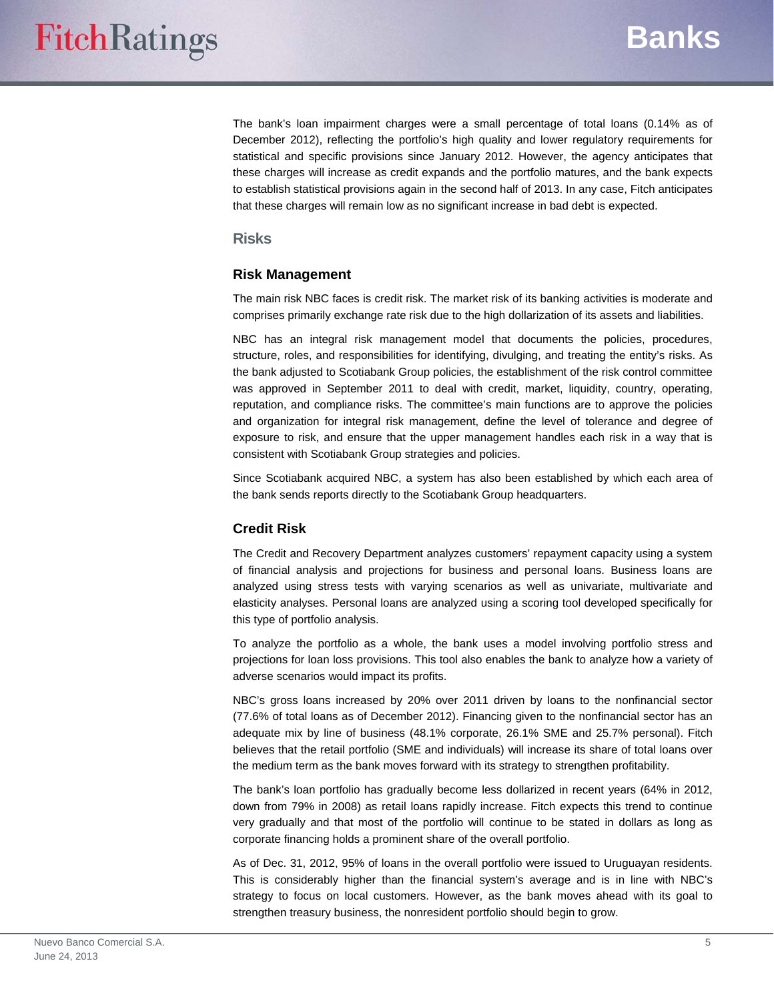The bank's loan impairment charges were a small percentage of total loans (0.14% as of December 2012), reflecting the portfolio's high quality and lower regulatory requirements for statistical and specific provisions since January 2012. However, the agency anticipates that these charges will increase as credit expands and the portfolio matures, and the bank expects to establish statistical provisions again in the second half of 2013. In any case, Fitch anticipates that these charges will remain low as no significant increase in bad debt is expected.

#### **Risks**

#### **Risk Management**

The main risk NBC faces is credit risk. The market risk of its banking activities is moderate and comprises primarily exchange rate risk due to the high dollarization of its assets and liabilities.

NBC has an integral risk management model that documents the policies, procedures, structure, roles, and responsibilities for identifying, divulging, and treating the entity's risks. As the bank adjusted to Scotiabank Group policies, the establishment of the risk control committee was approved in September 2011 to deal with credit, market, liquidity, country, operating, reputation, and compliance risks. The committee's main functions are to approve the policies and organization for integral risk management, define the level of tolerance and degree of exposure to risk, and ensure that the upper management handles each risk in a way that is consistent with Scotiabank Group strategies and policies.

Since Scotiabank acquired NBC, a system has also been established by which each area of the bank sends reports directly to the Scotiabank Group headquarters.

## **Credit Risk**

The Credit and Recovery Department analyzes customers' repayment capacity using a system of financial analysis and projections for business and personal loans. Business loans are analyzed using stress tests with varying scenarios as well as univariate, multivariate and elasticity analyses. Personal loans are analyzed using a scoring tool developed specifically for this type of portfolio analysis.

To analyze the portfolio as a whole, the bank uses a model involving portfolio stress and projections for loan loss provisions. This tool also enables the bank to analyze how a variety of adverse scenarios would impact its profits.

NBC's gross loans increased by 20% over 2011 driven by loans to the nonfinancial sector (77.6% of total loans as of December 2012). Financing given to the nonfinancial sector has an adequate mix by line of business (48.1% corporate, 26.1% SME and 25.7% personal). Fitch believes that the retail portfolio (SME and individuals) will increase its share of total loans over the medium term as the bank moves forward with its strategy to strengthen profitability.

The bank's loan portfolio has gradually become less dollarized in recent years (64% in 2012, down from 79% in 2008) as retail loans rapidly increase. Fitch expects this trend to continue very gradually and that most of the portfolio will continue to be stated in dollars as long as corporate financing holds a prominent share of the overall portfolio.

As of Dec. 31, 2012, 95% of loans in the overall portfolio were issued to Uruguayan residents. This is considerably higher than the financial system's average and is in line with NBC's strategy to focus on local customers. However, as the bank moves ahead with its goal to strengthen treasury business, the nonresident portfolio should begin to grow.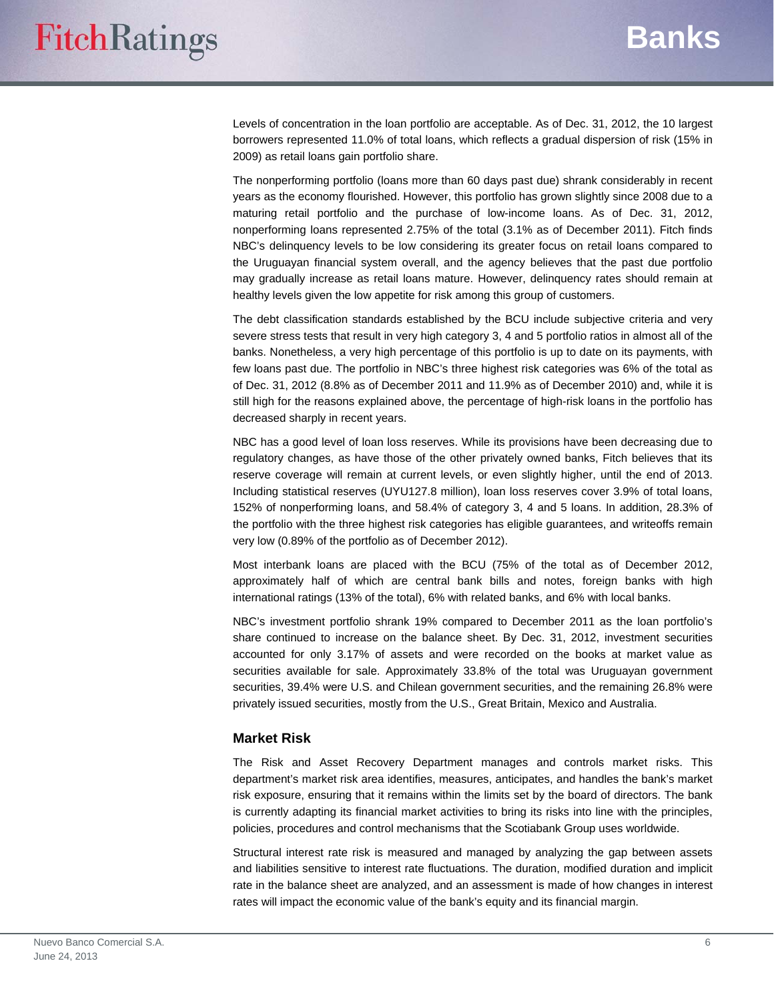Levels of concentration in the loan portfolio are acceptable. As of Dec. 31, 2012, the 10 largest borrowers represented 11.0% of total loans, which reflects a gradual dispersion of risk (15% in 2009) as retail loans gain portfolio share.

The nonperforming portfolio (loans more than 60 days past due) shrank considerably in recent years as the economy flourished. However, this portfolio has grown slightly since 2008 due to a maturing retail portfolio and the purchase of low-income loans. As of Dec. 31, 2012, nonperforming loans represented 2.75% of the total (3.1% as of December 2011). Fitch finds NBC's delinquency levels to be low considering its greater focus on retail loans compared to the Uruguayan financial system overall, and the agency believes that the past due portfolio may gradually increase as retail loans mature. However, delinquency rates should remain at healthy levels given the low appetite for risk among this group of customers.

The debt classification standards established by the BCU include subjective criteria and very severe stress tests that result in very high category 3, 4 and 5 portfolio ratios in almost all of the banks. Nonetheless, a very high percentage of this portfolio is up to date on its payments, with few loans past due. The portfolio in NBC's three highest risk categories was 6% of the total as of Dec. 31, 2012 (8.8% as of December 2011 and 11.9% as of December 2010) and, while it is still high for the reasons explained above, the percentage of high-risk loans in the portfolio has decreased sharply in recent years.

NBC has a good level of loan loss reserves. While its provisions have been decreasing due to regulatory changes, as have those of the other privately owned banks, Fitch believes that its reserve coverage will remain at current levels, or even slightly higher, until the end of 2013. Including statistical reserves (UYU127.8 million), loan loss reserves cover 3.9% of total loans, 152% of nonperforming loans, and 58.4% of category 3, 4 and 5 loans. In addition, 28.3% of the portfolio with the three highest risk categories has eligible guarantees, and writeoffs remain very low (0.89% of the portfolio as of December 2012).

Most interbank loans are placed with the BCU (75% of the total as of December 2012, approximately half of which are central bank bills and notes, foreign banks with high international ratings (13% of the total), 6% with related banks, and 6% with local banks.

NBC's investment portfolio shrank 19% compared to December 2011 as the loan portfolio's share continued to increase on the balance sheet. By Dec. 31, 2012, investment securities accounted for only 3.17% of assets and were recorded on the books at market value as securities available for sale. Approximately 33.8% of the total was Uruguayan government securities, 39.4% were U.S. and Chilean government securities, and the remaining 26.8% were privately issued securities, mostly from the U.S., Great Britain, Mexico and Australia.

#### **Market Risk**

The Risk and Asset Recovery Department manages and controls market risks. This department's market risk area identifies, measures, anticipates, and handles the bank's market risk exposure, ensuring that it remains within the limits set by the board of directors. The bank is currently adapting its financial market activities to bring its risks into line with the principles, policies, procedures and control mechanisms that the Scotiabank Group uses worldwide.

Structural interest rate risk is measured and managed by analyzing the gap between assets and liabilities sensitive to interest rate fluctuations. The duration, modified duration and implicit rate in the balance sheet are analyzed, and an assessment is made of how changes in interest rates will impact the economic value of the bank's equity and its financial margin.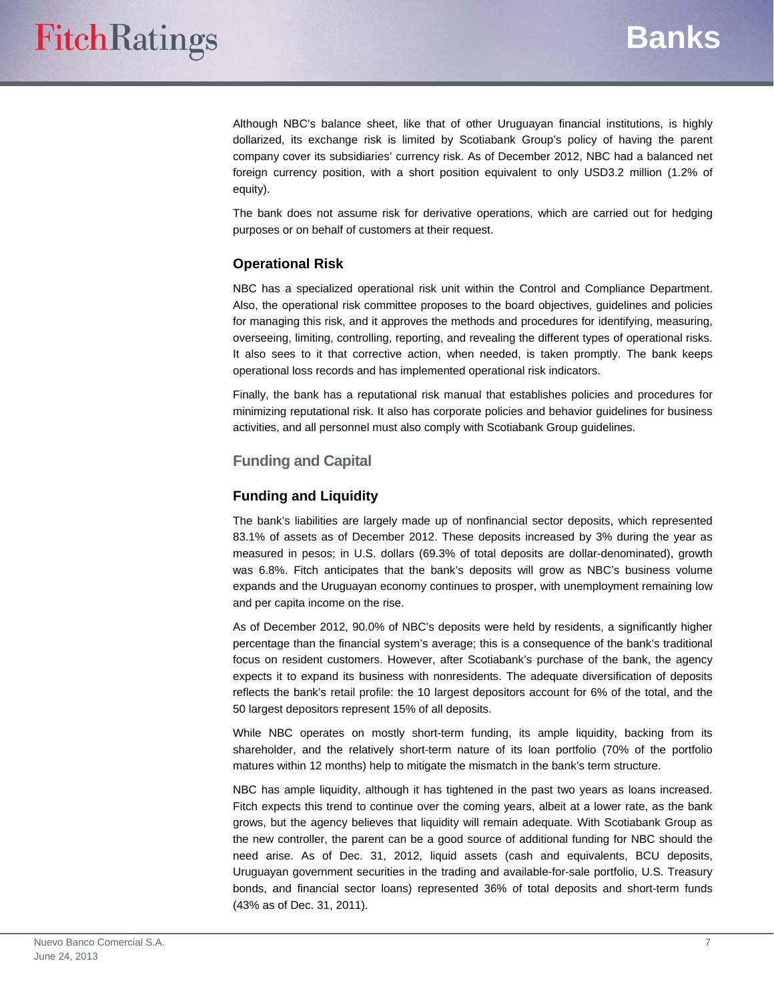Although NBC's balance sheet, like that of other Uruguayan financial institutions, is highly dollarized, its exchange risk is limited by Scotiabank Group's policy of having the parent company cover its subsidiaries' currency risk. As of December 2012, NBC had a balanced net foreign currency position, with a short position equivalent to only USD3.2 million (1.2% of equity).

The bank does not assume risk for derivative operations, which are carried out for hedging purposes or on behalf of customers at their request.

## **Operational Risk**

NBC has a specialized operational risk unit within the Control and Compliance Department. Also, the operational risk committee proposes to the board objectives, guidelines and policies for managing this risk, and it approves the methods and procedures for identifying, measuring, overseeing, limiting, controlling, reporting, and revealing the different types of operational risks. It also sees to it that corrective action, when needed, is taken promptly. The bank keeps operational loss records and has implemented operational risk indicators.

Finally, the bank has a reputational risk manual that establishes policies and procedures for minimizing reputational risk. It also has corporate policies and behavior guidelines for business activities, and all personnel must also comply with Scotiabank Group guidelines.

## **Funding and Capital**

## **Funding and Liquidity**

The bank's liabilities are largely made up of nonfinancial sector deposits, which represented 83.1% of assets as of December 2012. These deposits increased by 3% during the year as measured in pesos; in U.S. dollars (69.3% of total deposits are dollar-denominated), growth was 6.8%. Fitch anticipates that the bank's deposits will grow as NBC's business volume expands and the Uruguayan economy continues to prosper, with unemployment remaining low and per capita income on the rise.

As of December 2012, 90.0% of NBC's deposits were held by residents, a significantly higher percentage than the financial system's average; this is a consequence of the bank's traditional focus on resident customers. However, after Scotiabank's purchase of the bank, the agency expects it to expand its business with nonresidents. The adequate diversification of deposits reflects the bank's retail profile: the 10 largest depositors account for 6% of the total, and the 50 largest depositors represent 15% of all deposits.

While NBC operates on mostly short-term funding, its ample liquidity, backing from its shareholder, and the relatively short-term nature of its loan portfolio (70% of the portfolio matures within 12 months) help to mitigate the mismatch in the bank's term structure.

NBC has ample liquidity, although it has tightened in the past two years as loans increased. Fitch expects this trend to continue over the coming years, albeit at a lower rate, as the bank grows, but the agency believes that liquidity will remain adequate. With Scotiabank Group as the new controller, the parent can be a good source of additional funding for NBC should the need arise. As of Dec. 31, 2012, liquid assets (cash and equivalents, BCU deposits, Uruguayan government securities in the trading and available-for-sale portfolio, U.S. Treasury bonds, and financial sector loans) represented 36% of total deposits and short-term funds (43% as of Dec. 31, 2011).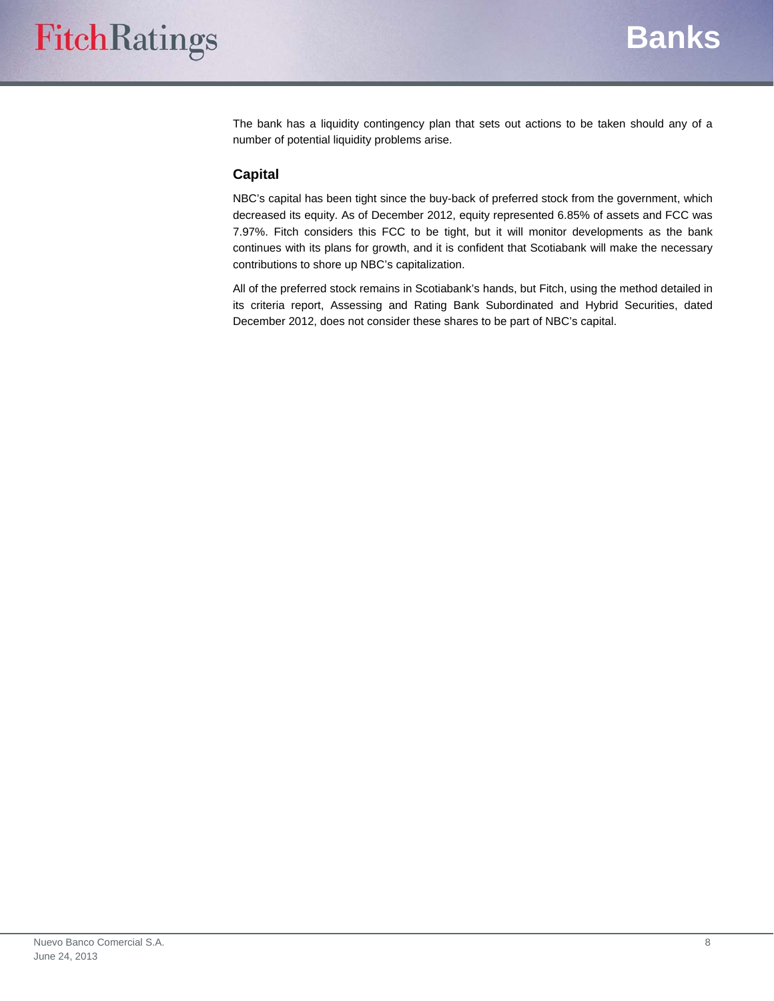The bank has a liquidity contingency plan that sets out actions to be taken should any of a number of potential liquidity problems arise.

## **Capital**

NBC's capital has been tight since the buy-back of preferred stock from the government, which decreased its equity. As of December 2012, equity represented 6.85% of assets and FCC was 7.97%. Fitch considers this FCC to be tight, but it will monitor developments as the bank continues with its plans for growth, and it is confident that Scotiabank will make the necessary contributions to shore up NBC's capitalization.

All of the preferred stock remains in Scotiabank's hands, but Fitch, using the method detailed in its criteria report, Assessing and Rating Bank Subordinated and Hybrid Securities, dated December 2012, does not consider these shares to be part of NBC's capital.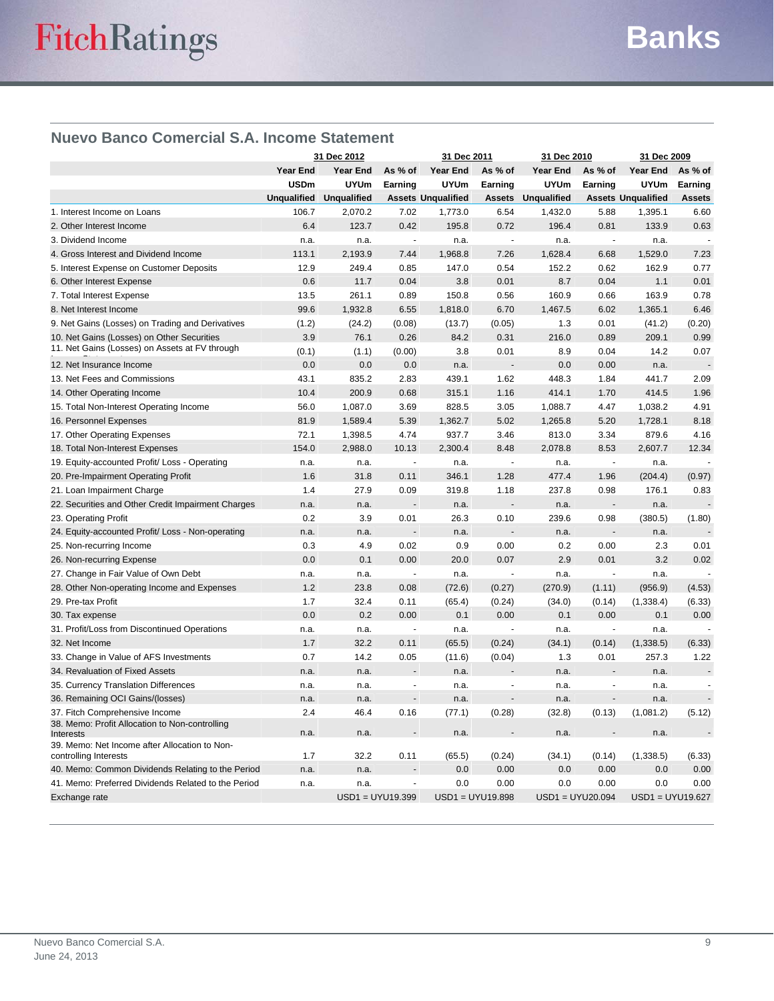## **Nuevo Banco Comercial S.A. Income Statement**

|                                                                        | 31 Dec 2012        |                  | 31 Dec 2011              |                           | 31 Dec 2010              |                           | 31 Dec 2009              |                           |                          |
|------------------------------------------------------------------------|--------------------|------------------|--------------------------|---------------------------|--------------------------|---------------------------|--------------------------|---------------------------|--------------------------|
|                                                                        | <b>Year End</b>    | Year End         | As % of                  | Year End                  | As % of                  | Year End                  | As % of                  | Year End                  | As % of                  |
|                                                                        | <b>USDm</b>        | <b>UYUm</b>      | Earning                  | <b>UYUm</b>               | Earning                  | <b>UYUm</b>               | Earning                  | <b>UYUm</b>               | Earning                  |
|                                                                        | <b>Unqualified</b> | Unqualified      |                          | <b>Assets Unqualified</b> |                          | <b>Assets Unqualified</b> |                          | <b>Assets Unqualified</b> | <b>Assets</b>            |
| 1. Interest Income on Loans                                            | 106.7              | 2,070.2          | 7.02                     | 1,773.0                   | 6.54                     | 1,432.0                   | 5.88                     | 1,395.1                   | 6.60                     |
| 2. Other Interest Income                                               | 6.4                | 123.7            | 0.42                     | 195.8                     | 0.72                     | 196.4                     | 0.81                     | 133.9                     | 0.63                     |
| 3. Dividend Income                                                     | n.a.               | n.a.             | $\overline{\phantom{a}}$ | n.a.                      | L.                       | n.a.                      | $\sim$                   | n.a.                      |                          |
| 4. Gross Interest and Dividend Income                                  | 113.1              | 2,193.9          | 7.44                     | 1,968.8                   | 7.26                     | 1,628.4                   | 6.68                     | 1,529.0                   | 7.23                     |
| 5. Interest Expense on Customer Deposits                               | 12.9               | 249.4            | 0.85                     | 147.0                     | 0.54                     | 152.2                     | 0.62                     | 162.9                     | 0.77                     |
| 6. Other Interest Expense                                              | 0.6                | 11.7             | 0.04                     | 3.8                       | 0.01                     | 8.7                       | 0.04                     | 1.1                       | 0.01                     |
| 7. Total Interest Expense                                              | 13.5               | 261.1            | 0.89                     | 150.8                     | 0.56                     | 160.9                     | 0.66                     | 163.9                     | 0.78                     |
| 8. Net Interest Income                                                 | 99.6               | 1,932.8          | 6.55                     | 1,818.0                   | 6.70                     | 1,467.5                   | 6.02                     | 1,365.1                   | 6.46                     |
| 9. Net Gains (Losses) on Trading and Derivatives                       | (1.2)              | (24.2)           | (0.08)                   | (13.7)                    | (0.05)                   | 1.3                       | 0.01                     | (41.2)                    | (0.20)                   |
| 10. Net Gains (Losses) on Other Securities                             | 3.9                | 76.1             | 0.26                     | 84.2                      | 0.31                     | 216.0                     | 0.89                     | 209.1                     | 0.99                     |
| 11. Net Gains (Losses) on Assets at FV through                         | (0.1)              | (1.1)            | (0.00)                   | 3.8                       | 0.01                     | 8.9                       | 0.04                     | 14.2                      | 0.07                     |
| 12. Net Insurance Income                                               | 0.0                | 0.0              | 0.0                      | n.a.                      | ÷,                       | 0.0                       | 0.00                     | n.a.                      |                          |
| 13. Net Fees and Commissions                                           | 43.1               | 835.2            | 2.83                     | 439.1                     | 1.62                     | 448.3                     | 1.84                     | 441.7                     | 2.09                     |
| 14. Other Operating Income                                             | 10.4               | 200.9            | 0.68                     | 315.1                     | 1.16                     | 414.1                     | 1.70                     | 414.5                     | 1.96                     |
| 15. Total Non-Interest Operating Income                                | 56.0               | 1,087.0          | 3.69                     | 828.5                     | 3.05                     | 1,088.7                   | 4.47                     | 1,038.2                   | 4.91                     |
| 16. Personnel Expenses                                                 | 81.9               | 1,589.4          | 5.39                     | 1,362.7                   | 5.02                     | 1,265.8                   | 5.20                     | 1,728.1                   | 8.18                     |
| 17. Other Operating Expenses                                           | 72.1               | 1,398.5          | 4.74                     | 937.7                     | 3.46                     | 813.0                     | 3.34                     | 879.6                     | 4.16                     |
| 18. Total Non-Interest Expenses                                        | 154.0              | 2,988.0          | 10.13                    | 2,300.4                   | 8.48                     | 2,078.8                   | 8.53                     | 2,607.7                   | 12.34                    |
| 19. Equity-accounted Profit/ Loss - Operating                          | n.a.               | n.a.             | $\overline{\phantom{a}}$ | n.a.                      | $\overline{a}$           | n.a.                      | $\overline{\phantom{a}}$ | n.a.                      |                          |
| 20. Pre-Impairment Operating Profit                                    | 1.6                | 31.8             | 0.11                     | 346.1                     | 1.28                     | 477.4                     | 1.96                     | (204.4)                   | (0.97)                   |
| 21. Loan Impairment Charge                                             | 1.4                | 27.9             | 0.09                     | 319.8                     | 1.18                     | 237.8                     | 0.98                     | 176.1                     | 0.83                     |
| 22. Securities and Other Credit Impairment Charges                     | n.a.               | n.a.             |                          | n.a.                      |                          | n.a.                      |                          | n.a.                      |                          |
| 23. Operating Profit                                                   | 0.2                | 3.9              | 0.01                     | 26.3                      | 0.10                     | 239.6                     | 0.98                     | (380.5)                   | (1.80)                   |
| 24. Equity-accounted Profit/ Loss - Non-operating                      | n.a.               | n.a.             |                          | n.a.                      |                          | n.a.                      |                          | n.a.                      |                          |
| 25. Non-recurring Income                                               | 0.3                | 4.9              | 0.02                     | 0.9                       | 0.00                     | 0.2                       | 0.00                     | 2.3                       | 0.01                     |
| 26. Non-recurring Expense                                              | 0.0                | 0.1              | 0.00                     | 20.0                      | 0.07                     | 2.9                       | 0.01                     | 3.2                       | 0.02                     |
| 27. Change in Fair Value of Own Debt                                   | n.a.               | n.a.             | $\overline{a}$           | n.a.                      |                          | n.a.                      | ÷,                       | n.a.                      |                          |
| 28. Other Non-operating Income and Expenses                            | 1.2                | 23.8             | 0.08                     | (72.6)                    | (0.27)                   | (270.9)                   | (1.11)                   | (956.9)                   | (4.53)                   |
| 29. Pre-tax Profit                                                     | 1.7                | 32.4             | 0.11                     | (65.4)                    | (0.24)                   | (34.0)                    | (0.14)                   | (1, 338.4)                | (6.33)                   |
| 30. Tax expense                                                        | 0.0                | 0.2              | 0.00                     | 0.1                       | 0.00                     | 0.1                       | 0.00                     | 0.1                       | 0.00                     |
| 31. Profit/Loss from Discontinued Operations                           | n.a.               | n.a.             | ÷,                       | n.a.                      | $\overline{a}$           | n.a.                      |                          | n.a.                      | $\overline{a}$           |
| 32. Net Income                                                         | 1.7                | 32.2             | 0.11                     | (65.5)                    | (0.24)                   | (34.1)                    | (0.14)                   | (1,338.5)                 | (6.33)                   |
| 33. Change in Value of AFS Investments                                 | 0.7                | 14.2             | 0.05                     | (11.6)                    | (0.04)                   | 1.3                       | 0.01                     | 257.3                     | 1.22                     |
| 34. Revaluation of Fixed Assets                                        | n.a.               | n.a.             |                          | n.a.                      |                          | n.a.                      |                          | n.a.                      |                          |
| 35. Currency Translation Differences                                   | n.a.               | n.a.             | $\sim$                   | n.a.                      | $\overline{\phantom{a}}$ | n.a.                      | $\overline{a}$           | n.a.                      | ÷,                       |
| 36. Remaining OCI Gains/(losses)                                       | n.a.               | n.a.             | $\overline{\phantom{a}}$ | n.a.                      |                          | n.a.                      | $\overline{a}$           | n.a.                      | $\overline{\phantom{a}}$ |
| 37. Fitch Comprehensive Income                                         | 2.4                | 46.4             | 0.16                     | (77.1)                    | (0.28)                   | (32.8)                    | (0.13)                   | (1,081.2)                 | (5.12)                   |
| 38. Memo: Profit Allocation to Non-controlling<br>Interests            | n.a.               | n.a.             |                          | n.a.                      |                          | n.a.                      |                          | n.a.                      |                          |
| 39. Memo: Net Income after Allocation to Non-<br>controlling Interests | 1.7                | 32.2             | 0.11                     | (65.5)                    | (0.24)                   | (34.1)                    | (0.14)                   | (1,338.5)                 | (6.33)                   |
| 40. Memo: Common Dividends Relating to the Period                      | n.a.               | n.a.             | $\overline{\phantom{a}}$ | 0.0                       | 0.00                     | 0.0                       | 0.00                     | 0.0                       | 0.00                     |
| 41. Memo: Preferred Dividends Related to the Period                    | n.a.               | n.a.             |                          | 0.0                       | 0.00                     | 0.0                       | 0.00                     | 0.0                       | 0.00                     |
| Exchange rate                                                          |                    | USD1 = UYU19.399 |                          |                           | USD1 = UYU19.898         |                           | $USD1 = UYU20.094$       | USD1 = UYU19.627          |                          |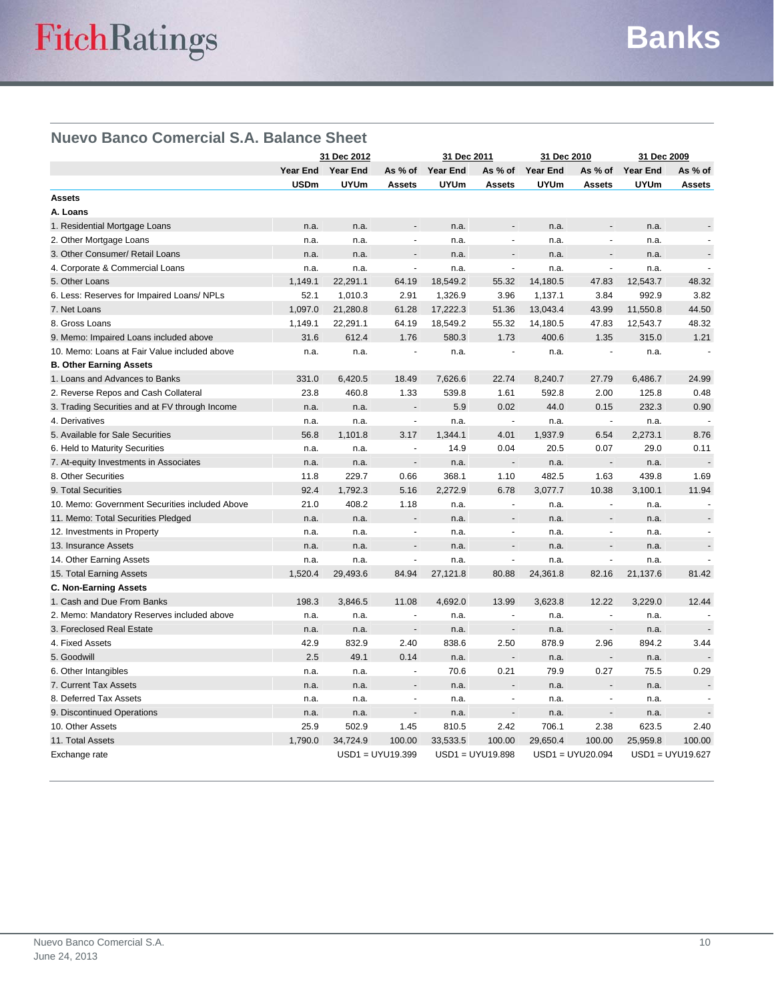# **Nuevo Banco Comercial S.A. Balance Sheet**

|                                                | 31 Dec 2012       |             |                          | 31 Dec 2011      |                          | 31 Dec 2010     |                          | 31 Dec 2009     |                    |
|------------------------------------------------|-------------------|-------------|--------------------------|------------------|--------------------------|-----------------|--------------------------|-----------------|--------------------|
|                                                | Year End Year End |             |                          | As % of Year End | As % of                  | <b>Year End</b> | As % of                  | <b>Year End</b> | As % of            |
|                                                | <b>USDm</b>       | <b>UYUm</b> | <b>Assets</b>            | <b>UYUm</b>      | <b>Assets</b>            | <b>UYUm</b>     | <b>Assets</b>            | <b>UYUm</b>     | <b>Assets</b>      |
| <b>Assets</b>                                  |                   |             |                          |                  |                          |                 |                          |                 |                    |
| A. Loans                                       |                   |             |                          |                  |                          |                 |                          |                 |                    |
| 1. Residential Mortgage Loans                  | n.a.              | n.a.        |                          | n.a.             |                          | n.a.            |                          | n.a.            |                    |
| 2. Other Mortgage Loans                        | n.a.              | n.a.        | $\blacksquare$           | n.a.             | ÷,                       | n.a.            | $\blacksquare$           | n.a.            |                    |
| 3. Other Consumer/ Retail Loans                | n.a.              | n.a.        |                          | n.a.             |                          | n.a.            |                          | n.a.            |                    |
| 4. Corporate & Commercial Loans                | n.a.              | n.a.        | ÷.                       | n.a.             | $\overline{a}$           | n.a.            | ÷.                       | n.a.            |                    |
| 5. Other Loans                                 | 1,149.1           | 22,291.1    | 64.19                    | 18,549.2         | 55.32                    | 14,180.5        | 47.83                    | 12,543.7        | 48.32              |
| 6. Less: Reserves for Impaired Loans/ NPLs     | 52.1              | 1,010.3     | 2.91                     | 1,326.9          | 3.96                     | 1,137.1         | 3.84                     | 992.9           | 3.82               |
| 7. Net Loans                                   | 1,097.0           | 21,280.8    | 61.28                    | 17,222.3         | 51.36                    | 13,043.4        | 43.99                    | 11,550.8        | 44.50              |
| 8. Gross Loans                                 | 1,149.1           | 22,291.1    | 64.19                    | 18,549.2         | 55.32                    | 14,180.5        | 47.83                    | 12,543.7        | 48.32              |
| 9. Memo: Impaired Loans included above         | 31.6              | 612.4       | 1.76                     | 580.3            | 1.73                     | 400.6           | 1.35                     | 315.0           | 1.21               |
| 10. Memo: Loans at Fair Value included above   | n.a.              | n.a.        | ÷,                       | n.a.             |                          | n.a.            | ÷,                       | n.a.            |                    |
| <b>B. Other Earning Assets</b>                 |                   |             |                          |                  |                          |                 |                          |                 |                    |
| 1. Loans and Advances to Banks                 | 331.0             | 6,420.5     | 18.49                    | 7,626.6          | 22.74                    | 8,240.7         | 27.79                    | 6,486.7         | 24.99              |
| 2. Reverse Repos and Cash Collateral           | 23.8              | 460.8       | 1.33                     | 539.8            | 1.61                     | 592.8           | 2.00                     | 125.8           | 0.48               |
| 3. Trading Securities and at FV through Income | n.a.              | n.a.        | $\overline{\phantom{a}}$ | 5.9              | 0.02                     | 44.0            | 0.15                     | 232.3           | 0.90               |
| 4. Derivatives                                 | n.a.              | n.a.        | $\tilde{\phantom{a}}$    | n.a.             |                          | n.a.            | $\tilde{\phantom{a}}$    | n.a.            |                    |
| 5. Available for Sale Securities               | 56.8              | 1,101.8     | 3.17                     | 1,344.1          | 4.01                     | 1,937.9         | 6.54                     | 2,273.1         | 8.76               |
| 6. Held to Maturity Securities                 | n.a.              | n.a.        | $\blacksquare$           | 14.9             | 0.04                     | 20.5            | 0.07                     | 29.0            | 0.11               |
| 7. At-equity Investments in Associates         | n.a.              | n.a.        | $\blacksquare$           | n.a.             |                          | n.a.            | $\blacksquare$           | n.a.            |                    |
| 8. Other Securities                            | 11.8              | 229.7       | 0.66                     | 368.1            | 1.10                     | 482.5           | 1.63                     | 439.8           | 1.69               |
| 9. Total Securities                            | 92.4              | 1,792.3     | 5.16                     | 2,272.9          | 6.78                     | 3,077.7         | 10.38                    | 3,100.1         | 11.94              |
| 10. Memo: Government Securities included Above | 21.0              | 408.2       | 1.18                     | n.a.             | $\overline{\phantom{a}}$ | n.a.            | $\overline{\phantom{a}}$ | n.a.            |                    |
| 11. Memo: Total Securities Pledged             | n.a.              | n.a.        |                          | n.a.             |                          | n.a.            |                          | n.a.            |                    |
| 12. Investments in Property                    | n.a.              | n.a.        | $\overline{\phantom{a}}$ | n.a.             | ä,                       | n.a.            | $\overline{\phantom{a}}$ | n.a.            |                    |
| 13. Insurance Assets                           | n.a.              | n.a.        |                          | n.a.             |                          | n.a.            |                          | n.a.            |                    |
| 14. Other Earning Assets                       | n.a.              | n.a.        | $\blacksquare$           | n.a.             | $\blacksquare$           | n.a.            | $\sim$                   | n.a.            |                    |
| 15. Total Earning Assets                       | 1,520.4           | 29,493.6    | 84.94                    | 27,121.8         | 80.88                    | 24,361.8        | 82.16                    | 21,137.6        | 81.42              |
| <b>C. Non-Earning Assets</b>                   |                   |             |                          |                  |                          |                 |                          |                 |                    |
| 1. Cash and Due From Banks                     | 198.3             | 3,846.5     | 11.08                    | 4,692.0          | 13.99                    | 3,623.8         | 12.22                    | 3,229.0         | 12.44              |
| 2. Memo: Mandatory Reserves included above     | n.a.              | n.a.        | $\sim$                   | n.a.             |                          | n.a.            | ÷,                       | n.a.            |                    |
| 3. Foreclosed Real Estate                      | n.a.              | n.a.        | ÷,                       | n.a.             |                          | n.a.            | $\blacksquare$           | n.a.            |                    |
| 4. Fixed Assets                                | 42.9              | 832.9       | 2.40                     | 838.6            | 2.50                     | 878.9           | 2.96                     | 894.2           | 3.44               |
| 5. Goodwill                                    | 2.5               | 49.1        | 0.14                     | n.a.             |                          | n.a.            | $\overline{a}$           | n.a.            |                    |
| 6. Other Intangibles                           | n.a.              | n.a.        | $\blacksquare$           | 70.6             | 0.21                     | 79.9            | 0.27                     | 75.5            | 0.29               |
| 7. Current Tax Assets                          | n.a.              | n.a.        |                          | n.a.             |                          | n.a.            |                          | n.a.            |                    |
| 8. Deferred Tax Assets                         | n.a.              | n.a.        | $\overline{\phantom{a}}$ | n.a.             |                          | n.a.            | $\overline{\phantom{a}}$ | n.a.            |                    |
| 9. Discontinued Operations                     | n.a.              | n.a.        | $\overline{\phantom{a}}$ | n.a.             |                          | n.a.            | $\overline{\phantom{a}}$ | n.a.            |                    |
| 10. Other Assets                               | 25.9              | 502.9       | 1.45                     | 810.5            | 2.42                     | 706.1           | 2.38                     | 623.5           | 2.40               |
| 11. Total Assets                               | 1,790.0           | 34,724.9    | 100.00                   | 33,533.5         | 100.00                   | 29,650.4        | 100.00                   | 25,959.8        | 100.00             |
| Exchange rate                                  |                   |             | $USD1 = UYU19.399$       |                  | $USD1 = UYU19.898$       |                 | USD1 = UYU20.094         |                 | $USD1 = UYU19.627$ |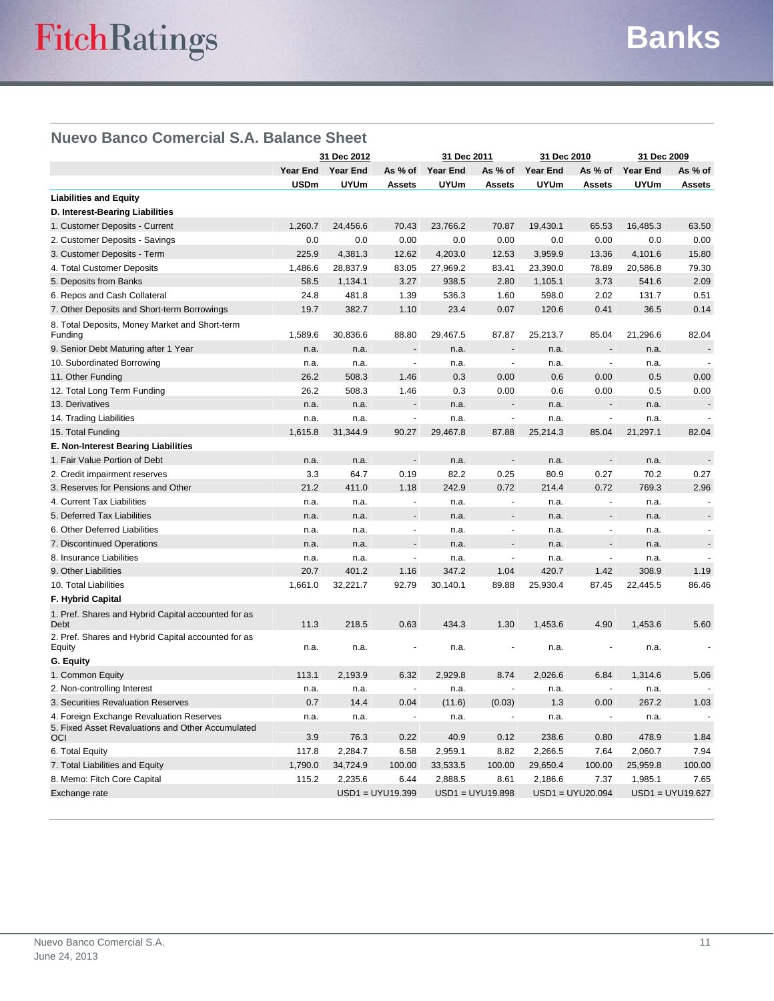## **Nuevo Banco Comercial S.A. Balance Sheet**

|                                                                                               | 31 Dec 2012 |                   | 31 Dec 2011           |                 | 31 Dec 2010              |                 | 31 Dec 2009        |                 |                    |
|-----------------------------------------------------------------------------------------------|-------------|-------------------|-----------------------|-----------------|--------------------------|-----------------|--------------------|-----------------|--------------------|
|                                                                                               |             | Year End Year End | As % of               | <b>Year End</b> | As % of                  | <b>Year End</b> | As % of            | <b>Year End</b> | As % of            |
|                                                                                               | USDm        | <b>UYUm</b>       | <b>Assets</b>         | <b>UYUm</b>     | <b>Assets</b>            | <b>UYUm</b>     | <b>Assets</b>      | <b>UYUm</b>     | <b>Assets</b>      |
| <b>Liabilities and Equity</b>                                                                 |             |                   |                       |                 |                          |                 |                    |                 |                    |
| D. Interest-Bearing Liabilities                                                               |             |                   |                       |                 |                          |                 |                    |                 |                    |
| 1. Customer Deposits - Current                                                                | 1,260.7     | 24,456.6          | 70.43                 | 23,766.2        | 70.87                    | 19,430.1        | 65.53              | 16,485.3        | 63.50              |
| 2. Customer Deposits - Savings                                                                | 0.0         | 0.0               | 0.00                  | 0.0             | 0.00                     | 0.0             | 0.00               | 0.0             | 0.00               |
| 3. Customer Deposits - Term                                                                   | 225.9       | 4,381.3           | 12.62                 | 4,203.0         | 12.53                    | 3,959.9         | 13.36              | 4,101.6         | 15.80              |
| 4. Total Customer Deposits                                                                    | 1,486.6     | 28,837.9          | 83.05                 | 27,969.2        | 83.41                    | 23,390.0        | 78.89              | 20,586.8        | 79.30              |
| 5. Deposits from Banks                                                                        | 58.5        | 1,134.1           | 3.27                  | 938.5           | 2.80                     | 1,105.1         | 3.73               | 541.6           | 2.09               |
| 6. Repos and Cash Collateral                                                                  | 24.8        | 481.8             | 1.39                  | 536.3           | 1.60                     | 598.0           | 2.02               | 131.7           | 0.51               |
| 7. Other Deposits and Short-term Borrowings                                                   | 19.7        | 382.7             | 1.10                  | 23.4            | 0.07                     | 120.6           | 0.41               | 36.5            | 0.14               |
| 8. Total Deposits, Money Market and Short-term<br>Funding                                     | 1,589.6     | 30,836.6          | 88.80                 | 29,467.5        | 87.87                    | 25,213.7        | 85.04              | 21,296.6        | 82.04              |
| 9. Senior Debt Maturing after 1 Year                                                          | n.a.        | n.a.              |                       | n.a.            |                          | n.a.            |                    | n.a.            |                    |
| 10. Subordinated Borrowing                                                                    | n.a.        | n.a.              | ÷,                    | n.a.            | ÷,                       | n.a.            | L.                 | n.a.            | ÷,                 |
| 11. Other Funding                                                                             | 26.2        | 508.3             | 1.46                  | 0.3             | 0.00                     | 0.6             | 0.00               | 0.5             | 0.00               |
| 12. Total Long Term Funding                                                                   | 26.2        | 508.3             | 1.46                  | 0.3             | 0.00                     | 0.6             | 0.00               | 0.5             | 0.00               |
| 13. Derivatives                                                                               | n.a.        | n.a.              |                       | n.a.            |                          | n.a.            |                    | n.a.            |                    |
| 14. Trading Liabilities                                                                       | n.a.        | n.a.              | $\overline{a}$        | n.a.            | $\overline{\phantom{a}}$ | n.a.            | ÷,                 | n.a.            | $\overline{a}$     |
| 15. Total Funding                                                                             | 1,615.8     | 31,344.9          | 90.27                 | 29,467.8        | 87.88                    | 25,214.3        | 85.04              | 21,297.1        | 82.04              |
| E. Non-Interest Bearing Liabilities                                                           |             |                   |                       |                 |                          |                 |                    |                 |                    |
| 1. Fair Value Portion of Debt                                                                 | n.a.        | n.a.              | $\overline{a}$        | n.a.            |                          | n.a.            | $\overline{a}$     | n.a.            |                    |
| 2. Credit impairment reserves                                                                 | 3.3         | 64.7              | 0.19                  | 82.2            | 0.25                     | 80.9            | 0.27               | 70.2            | 0.27               |
| 3. Reserves for Pensions and Other                                                            | 21.2        | 411.0             | 1.18                  | 242.9           | 0.72                     | 214.4           | 0.72               | 769.3           | 2.96               |
| 4. Current Tax Liabilities                                                                    | n.a.        | n.a.              | $\sim$                | n.a.            | $\blacksquare$           | n.a.            | $\blacksquare$     | n.a.            | ÷.                 |
| 5. Deferred Tax Liabilities                                                                   | n.a.        | n.a.              |                       | n.a.            |                          | n.a.            |                    | n.a.            |                    |
| 6. Other Deferred Liabilities                                                                 | n.a.        | n.a.              | $\tilde{\phantom{a}}$ | n.a.            | $\overline{a}$           | n.a.            | $\overline{a}$     | n.a.            |                    |
| 7. Discontinued Operations                                                                    | n.a.        | n.a.              | $\overline{a}$        | n.a.            | $\overline{a}$           | n.a.            | $\overline{a}$     | n.a.            |                    |
| 8. Insurance Liabilities                                                                      | n.a.        | n.a.              | ÷,                    | n.a.            |                          | n.a.            | ÷,                 | n.a.            |                    |
| 9. Other Liabilities                                                                          | 20.7        | 401.2             | 1.16                  | 347.2           | 1.04                     | 420.7           | 1.42               | 308.9           | 1.19               |
| 10. Total Liabilities                                                                         | 1,661.0     | 32,221.7          | 92.79                 | 30,140.1        | 89.88                    | 25,930.4        | 87.45              | 22,445.5        | 86.46              |
| <b>F. Hybrid Capital</b>                                                                      |             |                   |                       |                 |                          |                 |                    |                 |                    |
| 1. Pref. Shares and Hybrid Capital accounted for as<br>Debt                                   | 11.3        | 218.5             | 0.63                  | 434.3           | 1.30                     | 1,453.6         | 4.90               | 1,453.6         | 5.60               |
| 2. Pref. Shares and Hybrid Capital accounted for as<br>Equity                                 | n.a.        | n.a.              |                       | n.a.            |                          | n.a.            |                    | n.a.            |                    |
| G. Equity                                                                                     |             |                   |                       |                 |                          |                 |                    |                 |                    |
| 1. Common Equity                                                                              | 113.1       | 2,193.9           | 6.32                  | 2,929.8         | 8.74                     | 2,026.6         | 6.84               | 1,314.6         | 5.06               |
| 2. Non-controlling Interest                                                                   | n.a.        | n.a.              |                       | n.a.            |                          | n.a.            |                    | n.a.            |                    |
| 3. Securities Revaluation Reserves                                                            | 0.7         | 14.4              | 0.04                  | (11.6)          | (0.03)                   | 1.3             | 0.00               | 267.2           | 1.03               |
| 4. Foreign Exchange Revaluation Reserves<br>5. Fixed Asset Revaluations and Other Accumulated | n.a.        | n.a.              | $\sim$                | n.a.            | ä,                       | n.a.            | $\sim$             | n.a.            |                    |
| OCI                                                                                           | 3.9         | 76.3              | 0.22                  | 40.9            | 0.12                     | 238.6           | 0.80               | 478.9           | 1.84               |
| 6. Total Equity                                                                               | 117.8       | 2,284.7           | 6.58                  | 2,959.1         | 8.82                     | 2,266.5         | 7.64               | 2,060.7         | 7.94               |
| 7. Total Liabilities and Equity                                                               | 1,790.0     | 34,724.9          | 100.00                | 33,533.5        | 100.00                   | 29,650.4        | 100.00             | 25,959.8        | 100.00             |
| 8. Memo: Fitch Core Capital                                                                   | 115.2       | 2,235.6           | 6.44                  | 2,888.5         | 8.61                     | 2,186.6         | 7.37               | 1,985.1         | 7.65               |
| Exchange rate                                                                                 |             |                   | $USD1 = UYU19.399$    |                 | USD1 = UYU19.898         |                 | $USD1 = UYU20.094$ |                 | $USD1 = UYU19.627$ |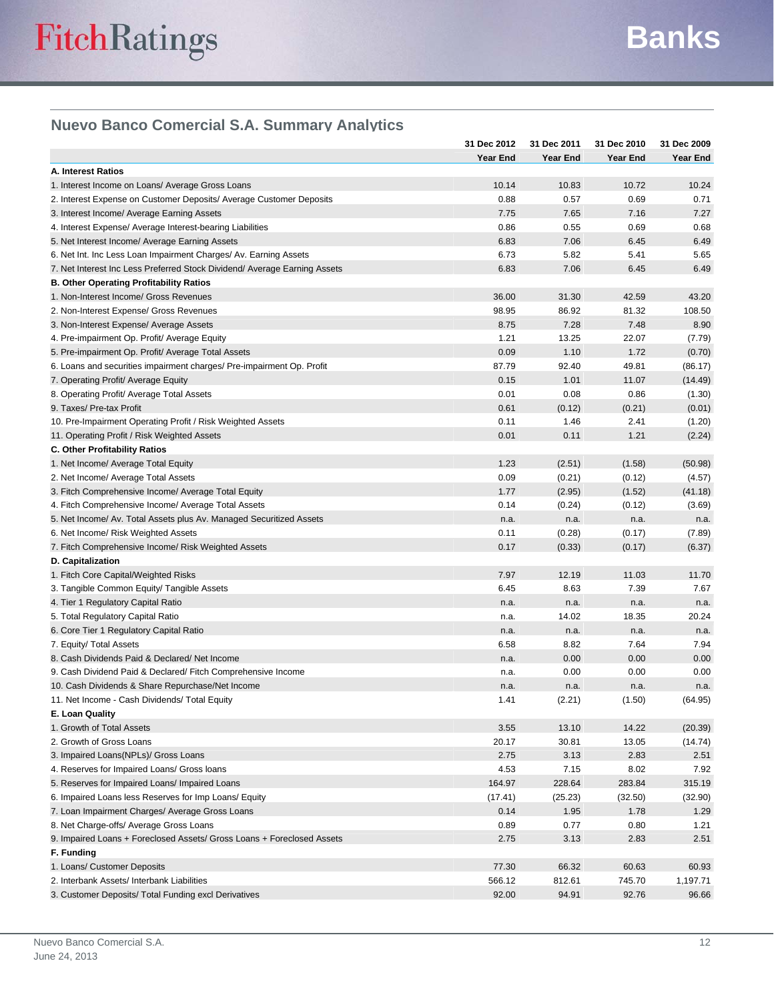# **Nuevo Banco Comercial S.A. Summary Analytics**

|                                                                           | 31 Dec 2012  | 31 Dec 2011    | 31 Dec 2010 | 31 Dec 2009     |
|---------------------------------------------------------------------------|--------------|----------------|-------------|-----------------|
|                                                                           | Year End     | Year End       | Year End    | Year End        |
| <b>A. Interest Ratios</b>                                                 |              |                |             |                 |
| 1. Interest Income on Loans/ Average Gross Loans                          | 10.14        | 10.83          | 10.72       | 10.24           |
| 2. Interest Expense on Customer Deposits/ Average Customer Deposits       | 0.88         | 0.57           | 0.69        | 0.71            |
| 3. Interest Income/ Average Earning Assets                                | 7.75         | 7.65           | 7.16        | 7.27            |
| 4. Interest Expense/ Average Interest-bearing Liabilities                 | 0.86         | 0.55           | 0.69        | 0.68            |
| 5. Net Interest Income/ Average Earning Assets                            | 6.83         | 7.06           | 6.45        | 6.49            |
| 6. Net Int. Inc Less Loan Impairment Charges/ Av. Earning Assets          | 6.73         | 5.82           | 5.41        | 5.65            |
| 7. Net Interest Inc Less Preferred Stock Dividend/ Average Earning Assets | 6.83         | 7.06           | 6.45        | 6.49            |
| <b>B. Other Operating Profitability Ratios</b>                            |              |                |             |                 |
| 1. Non-Interest Income/ Gross Revenues                                    | 36.00        | 31.30          | 42.59       | 43.20           |
| 2. Non-Interest Expense/ Gross Revenues                                   | 98.95        | 86.92          | 81.32       | 108.50          |
| 3. Non-Interest Expense/ Average Assets                                   | 8.75         | 7.28           | 7.48        | 8.90            |
| 4. Pre-impairment Op. Profit/ Average Equity                              | 1.21         | 13.25          | 22.07       | (7.79)          |
| 5. Pre-impairment Op. Profit/ Average Total Assets                        | 0.09         | 1.10           | 1.72        | (0.70)          |
| 6. Loans and securities impairment charges/ Pre-impairment Op. Profit     | 87.79        | 92.40          | 49.81       | (86.17)         |
| 7. Operating Profit/ Average Equity                                       | 0.15         | 1.01           | 11.07       | (14.49)         |
| 8. Operating Profit/ Average Total Assets                                 | 0.01         | 0.08           | 0.86        | (1.30)          |
| 9. Taxes/ Pre-tax Profit                                                  | 0.61         | (0.12)         | (0.21)      | (0.01)          |
| 10. Pre-Impairment Operating Profit / Risk Weighted Assets                | 0.11         | 1.46           | 2.41        | (1.20)          |
| 11. Operating Profit / Risk Weighted Assets                               | 0.01         | 0.11           | 1.21        | (2.24)          |
| <b>C. Other Profitability Ratios</b>                                      |              |                |             |                 |
| 1. Net Income/ Average Total Equity                                       | 1.23         | (2.51)         | (1.58)      | (50.98)         |
| 2. Net Income/ Average Total Assets                                       | 0.09         | (0.21)         | (0.12)      | (4.57)          |
| 3. Fitch Comprehensive Income/ Average Total Equity                       | 1.77         | (2.95)         | (1.52)      | (41.18)         |
| 4. Fitch Comprehensive Income/ Average Total Assets                       | 0.14         | (0.24)         | (0.12)      | (3.69)          |
| 5. Net Income/ Av. Total Assets plus Av. Managed Securitized Assets       | n.a.         | n.a.           | n.a.        | n.a.            |
| 6. Net Income/ Risk Weighted Assets                                       | 0.11         | (0.28)         | (0.17)      | (7.89)          |
| 7. Fitch Comprehensive Income/ Risk Weighted Assets                       | 0.17         | (0.33)         | (0.17)      | (6.37)          |
| D. Capitalization                                                         |              |                |             |                 |
| 1. Fitch Core Capital/Weighted Risks                                      | 7.97         | 12.19          | 11.03       | 11.70           |
| 3. Tangible Common Equity/ Tangible Assets                                | 6.45         | 8.63           | 7.39        | 7.67            |
| 4. Tier 1 Regulatory Capital Ratio                                        | n.a.         | n.a.           | n.a.        | n.a.            |
| 5. Total Regulatory Capital Ratio                                         | n.a.         | 14.02          | 18.35       | 20.24           |
| 6. Core Tier 1 Regulatory Capital Ratio                                   | n.a.         | n.a.           | n.a.        | n.a.            |
| 7. Equity/ Total Assets                                                   | 6.58         | 8.82           | 7.64        | 7.94            |
| 8. Cash Dividends Paid & Declared/ Net Income                             | n.a.         | 0.00           | 0.00        | 0.00            |
| 9. Cash Dividend Paid & Declared/ Fitch Comprehensive Income              |              | 0.00           | 0.00        | 0.00            |
| 10. Cash Dividends & Share Repurchase/Net Income                          | n.a.         |                | n.a.        |                 |
| 11. Net Income - Cash Dividends/ Total Equity                             | n.a.<br>1.41 | n.a.<br>(2.21) | (1.50)      | n.a.<br>(64.95) |
| E. Loan Quality                                                           |              |                |             |                 |
|                                                                           | 3.55         |                | 14.22       | (20.39)         |
| 1. Growth of Total Assets<br>2. Growth of Gross Loans                     |              | 13.10          |             |                 |
|                                                                           | 20.17        | 30.81          | 13.05       | (14.74)         |
| 3. Impaired Loans(NPLs)/ Gross Loans                                      | 2.75         | 3.13           | 2.83        | 2.51            |
| 4. Reserves for Impaired Loans/ Gross loans                               | 4.53         | 7.15           | 8.02        | 7.92            |
| 5. Reserves for Impaired Loans/ Impaired Loans                            | 164.97       | 228.64         | 283.84      | 315.19          |
| 6. Impaired Loans less Reserves for Imp Loans/ Equity                     | (17.41)      | (25.23)        | (32.50)     | (32.90)         |
| 7. Loan Impairment Charges/ Average Gross Loans                           | 0.14         | 1.95           | 1.78        | 1.29            |
| 8. Net Charge-offs/ Average Gross Loans                                   | 0.89         | 0.77           | 0.80        | 1.21            |
| 9. Impaired Loans + Foreclosed Assets/ Gross Loans + Foreclosed Assets    | 2.75         | 3.13           | 2.83        | 2.51            |
| F. Funding                                                                |              |                |             |                 |
| 1. Loans/ Customer Deposits                                               | 77.30        | 66.32          | 60.63       | 60.93           |
| 2. Interbank Assets/ Interbank Liabilities                                | 566.12       | 812.61         | 745.70      | 1,197.71        |
| 3. Customer Deposits/ Total Funding excl Derivatives                      | 92.00        | 94.91          | 92.76       | 96.66           |